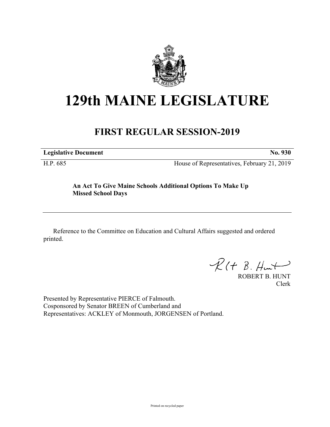

# **129th MAINE LEGISLATURE**

## **FIRST REGULAR SESSION-2019**

**Legislative Document No. 930**

H.P. 685 House of Representatives, February 21, 2019

### **An Act To Give Maine Schools Additional Options To Make Up Missed School Days**

Reference to the Committee on Education and Cultural Affairs suggested and ordered printed.

 $\mathcal{R}(t \; \mathcal{B}, \mathcal{H}_{\mathsf{int}})$ 

ROBERT B. HUNT Clerk

Presented by Representative PIERCE of Falmouth. Cosponsored by Senator BREEN of Cumberland and Representatives: ACKLEY of Monmouth, JORGENSEN of Portland.